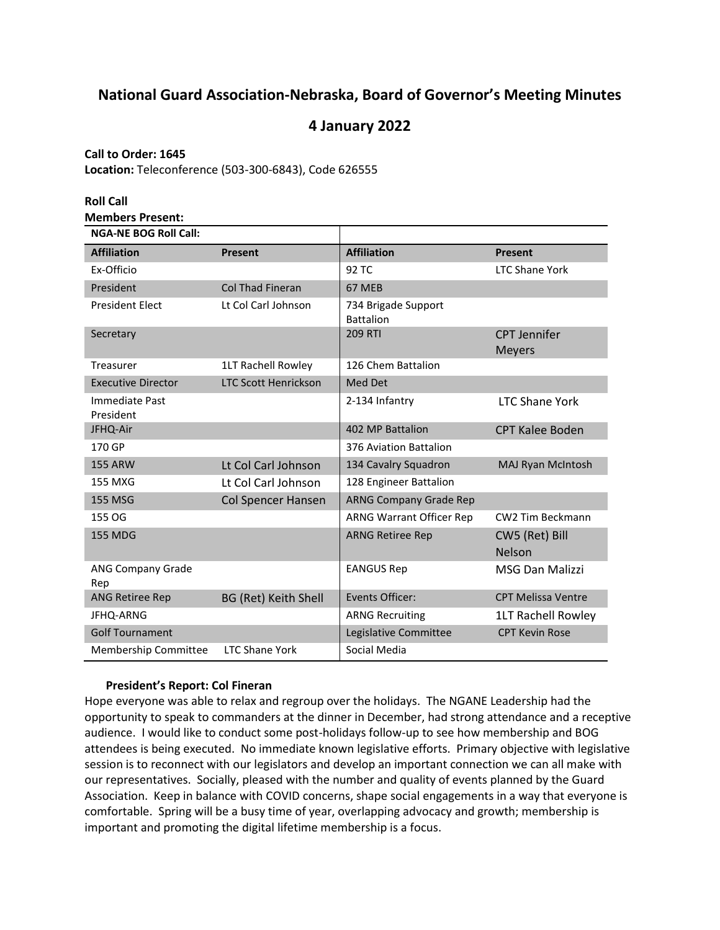# **National Guard Association-Nebraska, Board of Governor's Meeting Minutes**

## **4 January 2022**

## **Call to Order: 1645**

**Location:** Teleconference (503-300-6843), Code 626555

| <b>Roll Call</b>                                        |                             |                                         |                                      |
|---------------------------------------------------------|-----------------------------|-----------------------------------------|--------------------------------------|
| <b>Members Present:</b><br><b>NGA-NE BOG Roll Call:</b> |                             |                                         |                                      |
| <b>Affiliation</b>                                      | <b>Present</b>              | <b>Affiliation</b>                      | <b>Present</b>                       |
| Ex-Officio                                              |                             | 92 TC                                   | <b>LTC Shane York</b>                |
| President                                               | <b>Col Thad Fineran</b>     | 67 MEB                                  |                                      |
| <b>President Elect</b>                                  | Lt Col Carl Johnson         | 734 Brigade Support<br><b>Battalion</b> |                                      |
| Secretary                                               |                             | <b>209 RTI</b>                          | <b>CPT Jennifer</b><br><b>Meyers</b> |
| Treasurer                                               | 1LT Rachell Rowley          | 126 Chem Battalion                      |                                      |
| <b>Executive Director</b>                               | <b>LTC Scott Henrickson</b> | Med Det                                 |                                      |
| Immediate Past<br>President                             |                             | 2-134 Infantry                          | <b>LTC Shane York</b>                |
| JFHQ-Air                                                |                             | 402 MP Battalion                        | <b>CPT Kalee Boden</b>               |
| 170 GP                                                  |                             | 376 Aviation Battalion                  |                                      |
| <b>155 ARW</b>                                          | Lt Col Carl Johnson         | 134 Cavalry Squadron                    | MAJ Ryan McIntosh                    |
| 155 MXG                                                 | Lt Col Carl Johnson         | 128 Engineer Battalion                  |                                      |
| <b>155 MSG</b>                                          | <b>Col Spencer Hansen</b>   | <b>ARNG Company Grade Rep</b>           |                                      |
| 155 OG                                                  |                             | ARNG Warrant Officer Rep                | CW2 Tim Beckmann                     |
| <b>155 MDG</b>                                          |                             | <b>ARNG Retiree Rep</b>                 | CW5 (Ret) Bill<br><b>Nelson</b>      |
| <b>ANG Company Grade</b><br>Rep                         |                             | <b>EANGUS Rep</b>                       | <b>MSG Dan Malizzi</b>               |
| ANG Retiree Rep                                         | <b>BG (Ret) Keith Shell</b> | Events Officer:                         | <b>CPT Melissa Ventre</b>            |
| <b>JFHQ-ARNG</b>                                        |                             | <b>ARNG Recruiting</b>                  | <b>1LT Rachell Rowley</b>            |
| <b>Golf Tournament</b>                                  |                             | Legislative Committee                   | <b>CPT Kevin Rose</b>                |
| <b>Membership Committee</b>                             | <b>LTC Shane York</b>       | Social Media                            |                                      |

## **President's Report: Col Fineran**

Hope everyone was able to relax and regroup over the holidays. The NGANE Leadership had the opportunity to speak to commanders at the dinner in December, had strong attendance and a receptive audience. I would like to conduct some post-holidays follow-up to see how membership and BOG attendees is being executed. No immediate known legislative efforts. Primary objective with legislative session is to reconnect with our legislators and develop an important connection we can all make with our representatives. Socially, pleased with the number and quality of events planned by the Guard Association. Keep in balance with COVID concerns, shape social engagements in a way that everyone is comfortable. Spring will be a busy time of year, overlapping advocacy and growth; membership is important and promoting the digital lifetime membership is a focus.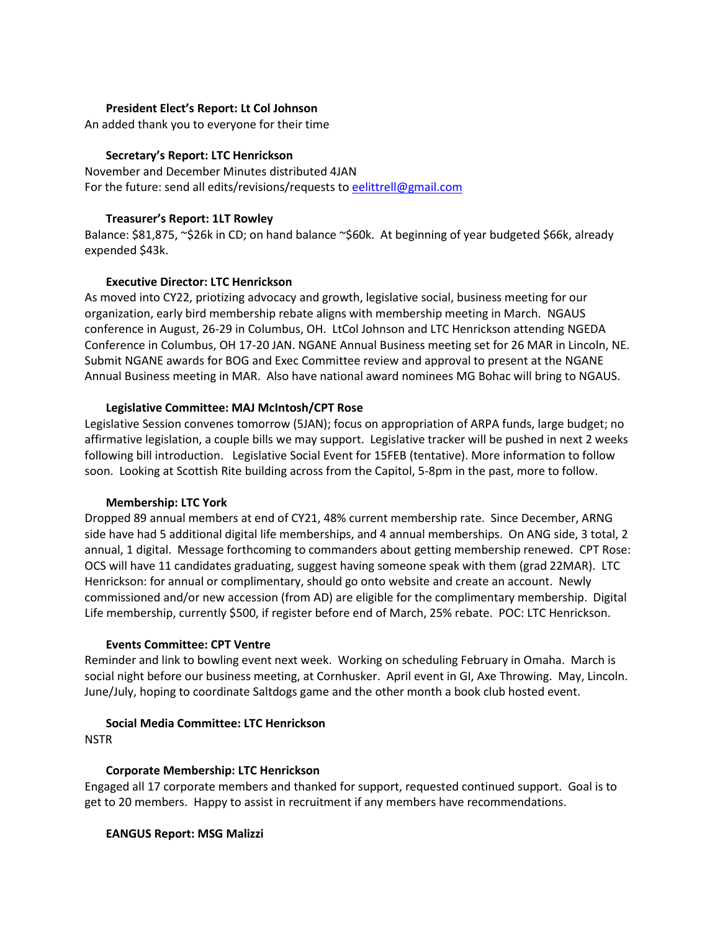#### **President Elect's Report: Lt Col Johnson**

An added thank you to everyone for their time

## **Secretary's Report: LTC Henrickson**

November and December Minutes distributed 4JAN For the future: send all edits/revisions/requests t[o eelittrell@gmail.com](mailto:eelittrell@gmail.com)

## **Treasurer's Report: 1LT Rowley**

Balance: \$81,875, ~\$26k in CD; on hand balance ~\$60k. At beginning of year budgeted \$66k, already expended \$43k.

## **Executive Director: LTC Henrickson**

As moved into CY22, priotizing advocacy and growth, legislative social, business meeting for our organization, early bird membership rebate aligns with membership meeting in March. NGAUS conference in August, 26-29 in Columbus, OH. LtCol Johnson and LTC Henrickson attending NGEDA Conference in Columbus, OH 17-20 JAN. NGANE Annual Business meeting set for 26 MAR in Lincoln, NE. Submit NGANE awards for BOG and Exec Committee review and approval to present at the NGANE Annual Business meeting in MAR. Also have national award nominees MG Bohac will bring to NGAUS.

## **Legislative Committee: MAJ McIntosh/CPT Rose**

Legislative Session convenes tomorrow (5JAN); focus on appropriation of ARPA funds, large budget; no affirmative legislation, a couple bills we may support. Legislative tracker will be pushed in next 2 weeks following bill introduction. Legislative Social Event for 15FEB (tentative). More information to follow soon. Looking at Scottish Rite building across from the Capitol, 5-8pm in the past, more to follow.

#### **Membership: LTC York**

Dropped 89 annual members at end of CY21, 48% current membership rate. Since December, ARNG side have had 5 additional digital life memberships, and 4 annual memberships. On ANG side, 3 total, 2 annual, 1 digital. Message forthcoming to commanders about getting membership renewed. CPT Rose: OCS will have 11 candidates graduating, suggest having someone speak with them (grad 22MAR). LTC Henrickson: for annual or complimentary, should go onto website and create an account. Newly commissioned and/or new accession (from AD) are eligible for the complimentary membership. Digital Life membership, currently \$500, if register before end of March, 25% rebate. POC: LTC Henrickson.

#### **Events Committee: CPT Ventre**

Reminder and link to bowling event next week. Working on scheduling February in Omaha. March is social night before our business meeting, at Cornhusker. April event in GI, Axe Throwing. May, Lincoln. June/July, hoping to coordinate Saltdogs game and the other month a book club hosted event.

## **Social Media Committee: LTC Henrickson**

**NSTR** 

## **Corporate Membership: LTC Henrickson**

Engaged all 17 corporate members and thanked for support, requested continued support. Goal is to get to 20 members. Happy to assist in recruitment if any members have recommendations.

#### **EANGUS Report: MSG Malizzi**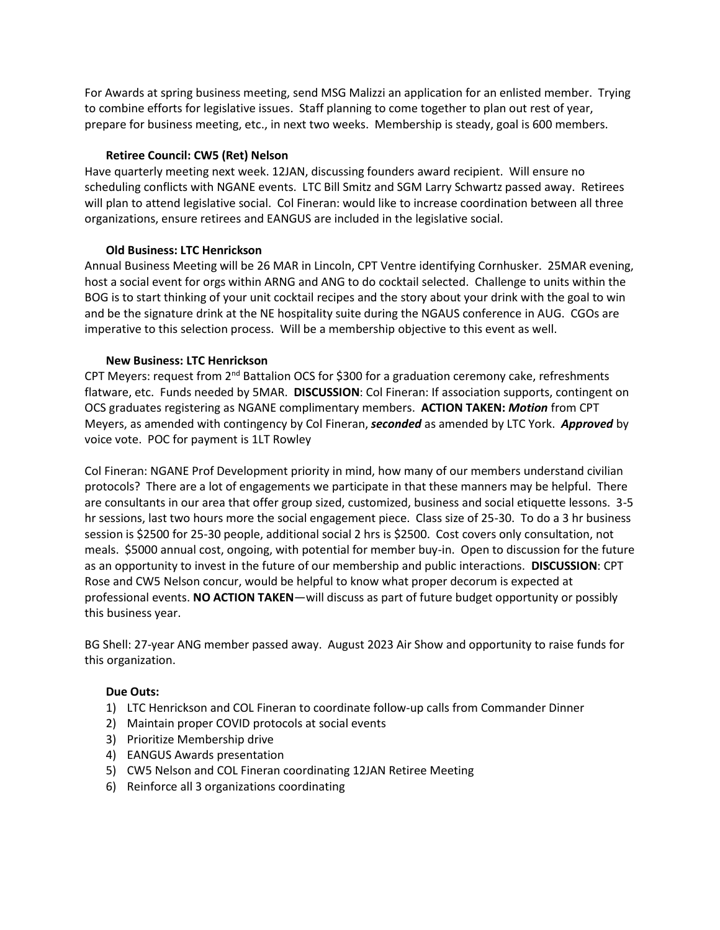For Awards at spring business meeting, send MSG Malizzi an application for an enlisted member. Trying to combine efforts for legislative issues. Staff planning to come together to plan out rest of year, prepare for business meeting, etc., in next two weeks. Membership is steady, goal is 600 members.

#### **Retiree Council: CW5 (Ret) Nelson**

Have quarterly meeting next week. 12JAN, discussing founders award recipient. Will ensure no scheduling conflicts with NGANE events. LTC Bill Smitz and SGM Larry Schwartz passed away. Retirees will plan to attend legislative social. Col Fineran: would like to increase coordination between all three organizations, ensure retirees and EANGUS are included in the legislative social.

## **Old Business: LTC Henrickson**

Annual Business Meeting will be 26 MAR in Lincoln, CPT Ventre identifying Cornhusker. 25MAR evening, host a social event for orgs within ARNG and ANG to do cocktail selected. Challenge to units within the BOG is to start thinking of your unit cocktail recipes and the story about your drink with the goal to win and be the signature drink at the NE hospitality suite during the NGAUS conference in AUG. CGOs are imperative to this selection process. Will be a membership objective to this event as well.

## **New Business: LTC Henrickson**

CPT Meyers: request from  $2^{nd}$  Battalion OCS for \$300 for a graduation ceremony cake, refreshments flatware, etc. Funds needed by 5MAR. **DISCUSSION**: Col Fineran: If association supports, contingent on OCS graduates registering as NGANE complimentary members. **ACTION TAKEN:** *Motion* from CPT Meyers, as amended with contingency by Col Fineran, *seconded* as amended by LTC York. *Approved* by voice vote. POC for payment is 1LT Rowley

Col Fineran: NGANE Prof Development priority in mind, how many of our members understand civilian protocols? There are a lot of engagements we participate in that these manners may be helpful. There are consultants in our area that offer group sized, customized, business and social etiquette lessons. 3-5 hr sessions, last two hours more the social engagement piece. Class size of 25-30. To do a 3 hr business session is \$2500 for 25-30 people, additional social 2 hrs is \$2500. Cost covers only consultation, not meals. \$5000 annual cost, ongoing, with potential for member buy-in. Open to discussion for the future as an opportunity to invest in the future of our membership and public interactions. **DISCUSSION**: CPT Rose and CW5 Nelson concur, would be helpful to know what proper decorum is expected at professional events. **NO ACTION TAKEN**—will discuss as part of future budget opportunity or possibly this business year.

BG Shell: 27-year ANG member passed away. August 2023 Air Show and opportunity to raise funds for this organization.

## **Due Outs:**

- 1) LTC Henrickson and COL Fineran to coordinate follow-up calls from Commander Dinner
- 2) Maintain proper COVID protocols at social events
- 3) Prioritize Membership drive
- 4) EANGUS Awards presentation
- 5) CW5 Nelson and COL Fineran coordinating 12JAN Retiree Meeting
- 6) Reinforce all 3 organizations coordinating